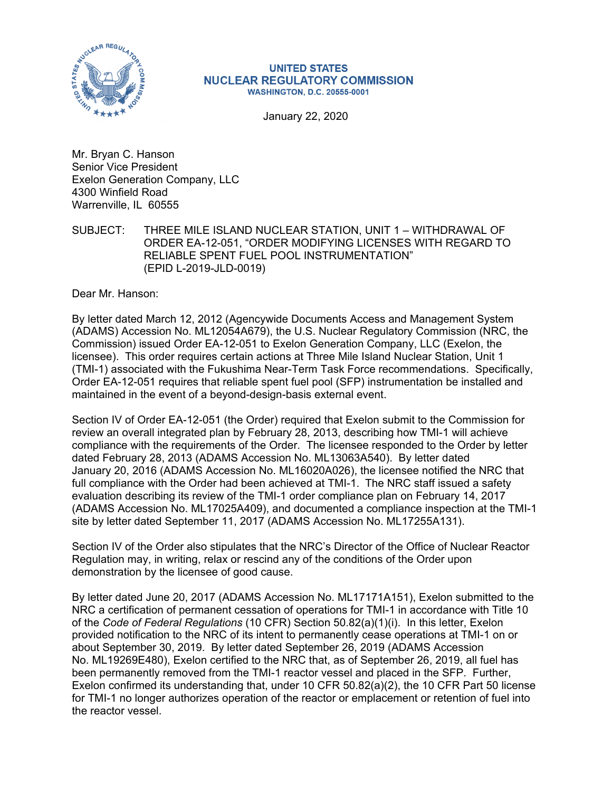

## **UNITED STATES NUCLEAR REGULATORY COMMISSION WASHINGTON, D.C. 20555-0001**

January 22, 2020

Mr. Bryan C. Hanson Senior Vice President Exelon Generation Company, LLC 4300 Winfield Road Warrenville, IL 60555

SUBJECT: THREE MILE ISLAND NUCLEAR STATION, UNIT 1 – WITHDRAWAL OF ORDER EA-12-051, "ORDER MODIFYING LICENSES WITH REGARD TO RELIABLE SPENT FUEL POOL INSTRUMENTATION" (EPID L-2019-JLD-0019)

Dear Mr. Hanson:

By letter dated March 12, 2012 (Agencywide Documents Access and Management System (ADAMS) Accession No. ML12054A679), the U.S. Nuclear Regulatory Commission (NRC, the Commission) issued Order EA-12-051 to Exelon Generation Company, LLC (Exelon, the licensee). This order requires certain actions at Three Mile Island Nuclear Station, Unit 1 (TMI-1) associated with the Fukushima Near-Term Task Force recommendations. Specifically, Order EA-12-051 requires that reliable spent fuel pool (SFP) instrumentation be installed and maintained in the event of a beyond-design-basis external event.

Section IV of Order EA-12-051 (the Order) required that Exelon submit to the Commission for review an overall integrated plan by February 28, 2013, describing how TMI-1 will achieve compliance with the requirements of the Order. The licensee responded to the Order by letter dated February 28, 2013 (ADAMS Accession No. ML13063A540). By letter dated January 20, 2016 (ADAMS Accession No. ML16020A026), the licensee notified the NRC that full compliance with the Order had been achieved at TMI-1. The NRC staff issued a safety evaluation describing its review of the TMI-1 order compliance plan on February 14, 2017 (ADAMS Accession No. ML17025A409), and documented a compliance inspection at the TMI-1 site by letter dated September 11, 2017 (ADAMS Accession No. ML17255A131).

Section IV of the Order also stipulates that the NRC's Director of the Office of Nuclear Reactor Regulation may, in writing, relax or rescind any of the conditions of the Order upon demonstration by the licensee of good cause.

By letter dated June 20, 2017 (ADAMS Accession No. ML17171A151), Exelon submitted to the NRC a certification of permanent cessation of operations for TMI-1 in accordance with Title 10 of the *Code of Federal Regulations* (10 CFR) Section 50.82(a)(1)(i). In this letter, Exelon provided notification to the NRC of its intent to permanently cease operations at TMI-1 on or about September 30, 2019. By letter dated September 26, 2019 (ADAMS Accession No. ML19269E480), Exelon certified to the NRC that, as of September 26, 2019, all fuel has been permanently removed from the TMI-1 reactor vessel and placed in the SFP. Further, Exelon confirmed its understanding that, under 10 CFR 50.82(a)(2), the 10 CFR Part 50 license for TMI-1 no longer authorizes operation of the reactor or emplacement or retention of fuel into the reactor vessel.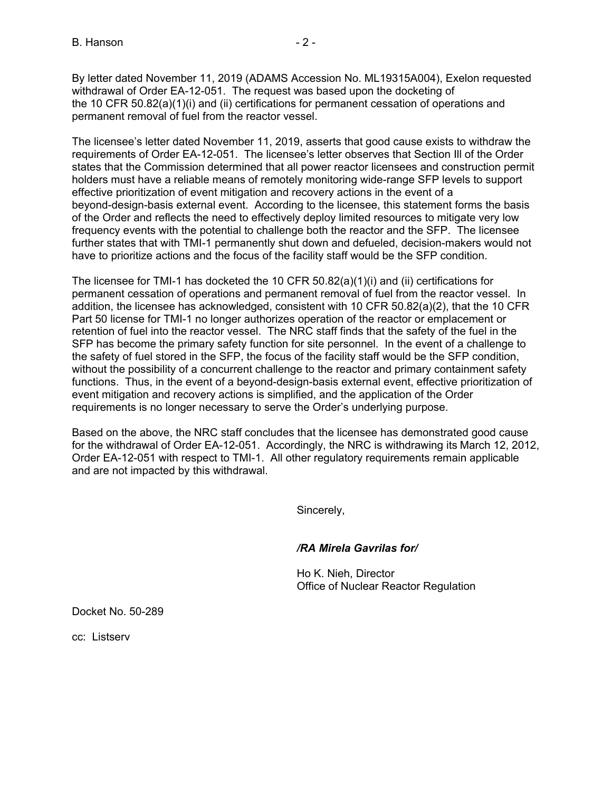By letter dated November 11, 2019 (ADAMS Accession No. ML19315A004), Exelon requested withdrawal of Order EA-12-051. The request was based upon the docketing of the 10 CFR 50.82(a)(1)(i) and (ii) certifications for permanent cessation of operations and permanent removal of fuel from the reactor vessel.

The licensee's letter dated November 11, 2019, asserts that good cause exists to withdraw the requirements of Order EA-12-051. The licensee's letter observes that Section Ill of the Order states that the Commission determined that all power reactor licensees and construction permit holders must have a reliable means of remotely monitoring wide-range SFP levels to support effective prioritization of event mitigation and recovery actions in the event of a beyond-design-basis external event. According to the licensee, this statement forms the basis of the Order and reflects the need to effectively deploy limited resources to mitigate very low frequency events with the potential to challenge both the reactor and the SFP. The licensee further states that with TMI-1 permanently shut down and defueled, decision-makers would not have to prioritize actions and the focus of the facility staff would be the SFP condition.

The licensee for TMI-1 has docketed the 10 CFR 50.82(a)(1)(i) and (ii) certifications for permanent cessation of operations and permanent removal of fuel from the reactor vessel. In addition, the licensee has acknowledged, consistent with 10 CFR 50.82(a)(2), that the 10 CFR Part 50 license for TMI-1 no longer authorizes operation of the reactor or emplacement or retention of fuel into the reactor vessel. The NRC staff finds that the safety of the fuel in the SFP has become the primary safety function for site personnel. In the event of a challenge to the safety of fuel stored in the SFP, the focus of the facility staff would be the SFP condition, without the possibility of a concurrent challenge to the reactor and primary containment safety functions. Thus, in the event of a beyond-design-basis external event, effective prioritization of event mitigation and recovery actions is simplified, and the application of the Order requirements is no longer necessary to serve the Order's underlying purpose.

Based on the above, the NRC staff concludes that the licensee has demonstrated good cause for the withdrawal of Order EA-12-051. Accordingly, the NRC is withdrawing its March 12, 2012, Order EA-12-051 with respect to TMI-1. All other regulatory requirements remain applicable and are not impacted by this withdrawal.

Sincerely,

## */RA Mirela Gavrilas for/*

 Ho K. Nieh, Director Office of Nuclear Reactor Regulation

Docket No. 50-289

cc: Listserv